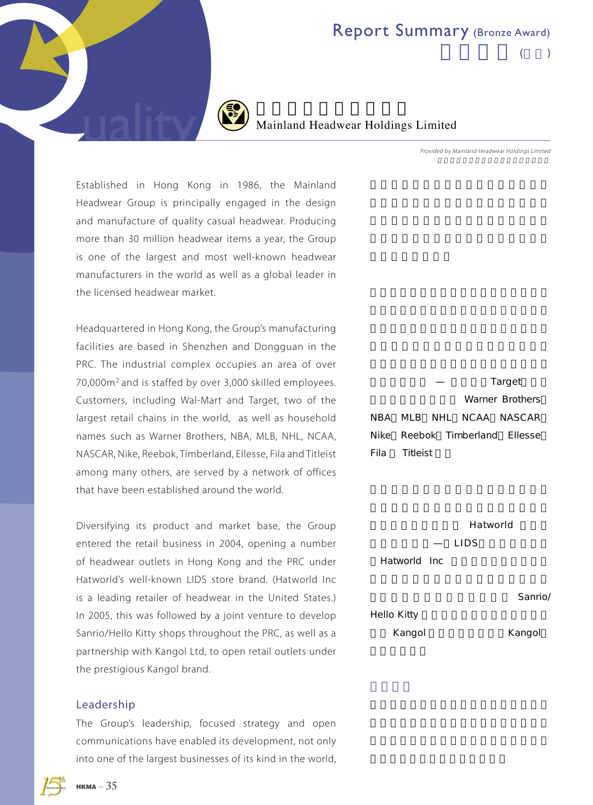$($ 



### Mainland Headwear Holdings Limited

Provided by Mainland Headwear Holdings Limited

Established in Hong Kong in 1986, the Mainland Headwear Group is principally engaged in the design and manufacture of quality casual headwear. Producing more than 30 million headwear items a year, the Group is one of the largest and most well-known headwear manufacturers in the world as well as a global leader in the licensed headwear market.

Headquartered in Hong Kong, the Group's manufacturing facilities are based in Shenzhen and Dongguan in the PRC. The industrial complex occupies an area of over 70,000m2 and is staffed by over 3,000 skilled employees. Customers, including Wal-Mart and Target, two of the largest retail chains in the world, as well as household names such as Warner Brothers, NBA, MLB, NHL, NCAA, NASCAR, Nike, Reebok, Timberland, Ellesse, Fila and Titleist among many others, are served by a network of offices that have been established around the world.

Diversifying its product and market base, the Group entered the retail business in 2004, opening a number of headwear outlets in Hong Kong and the PRC under Hatworld's well-known LIDS store brand. (Hatworld Inc is a leading retailer of headwear in the United States.) In 2005, this was followed by a joint venture to develop Sanrio/Hello Kitty shops throughout the PRC, as well as a partnership with Kangol Ltd, to open retail outlets under the prestigious Kangol brand.

### Leadership

The Group's leadership, focused strategy and open communications have enabled its development, not only into one of the largest businesses of its kind in the world,

Target Warner Brothers NBA、MLB、NHL、NCAA、NASCAR、 Nike、Reebok、Timberland、Ellesse、 Fila Titleist

Hatworld  $11DS$ Hatworld Inc Sanrio/ Hello Kitty Kangol Kangol

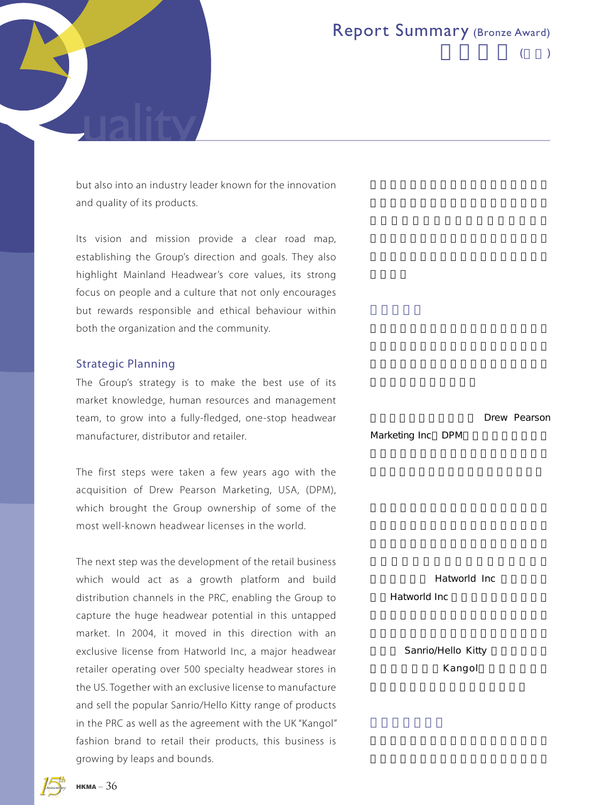$($ 

but also into an industry leader known for the innovation and quality of its products.

Its vision and mission provide a clear road map, establishing the Group's direction and goals. They also highlight Mainland Headwear's core values, its strong focus on people and a culture that not only encourages but rewards responsible and ethical behaviour within both the organization and the community.

### Strategic Planning

The Group's strategy is to make the best use of its market knowledge, human resources and management team, to grow into a fully-fledged, one-stop headwear manufacturer, distributor and retailer.

The first steps were taken a few years ago with the acquisition of Drew Pearson Marketing, USA, (DPM), which brought the Group ownership of some of the most well-known headwear licenses in the world.

The next step was the development of the retail business which would act as a growth platform and build distribution channels in the PRC, enabling the Group to capture the huge headwear potential in this untapped market. In 2004, it moved in this direction with an exclusive license from Hatworld Inc, a major headwear retailer operating over 500 specialty headwear stores in the US. Together with an exclusive license to manufacture and sell the popular Sanrio/Hello Kitty range of products in the PRC as well as the agreement with the UK "Kangol" fashion brand to retail their products, this business is growing by leaps and bounds.

Drew Pearson

Marketing Inc DPM

Hatworld Inc.

Hatworld Inc.

Sanrio/Hello Kitty Kangol

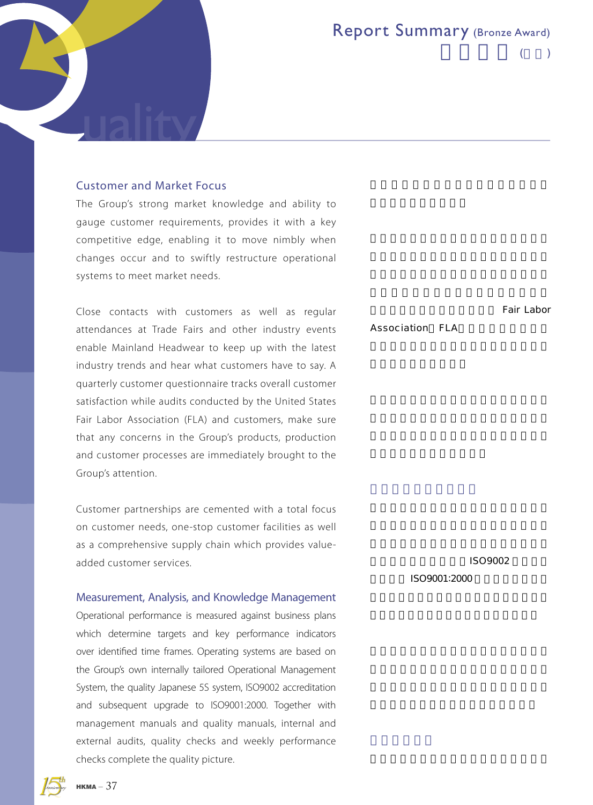$($ 

Fair Labor

### Customer and Market Focus

The Group's strong market knowledge and ability to gauge customer requirements, provides it with a key competitive edge, enabling it to move nimbly when changes occur and to swiftly restructure operational systems to meet market needs.

Close contacts with customers as well as regular attendances at Trade Fairs and other industry events enable Mainland Headwear to keep up with the latest industry trends and hear what customers have to say. A quarterly customer questionnaire tracks overall customer satisfaction while audits conducted by the United States Fair Labor Association (FLA) and customers, make sure that any concerns in the Group's products, production and customer processes are immediately brought to the Group's attention.

Customer partnerships are cemented with a total focus on customer needs, one-stop customer facilities as well as a comprehensive supply chain which provides valueadded customer services.

#### Measurement, Analysis, and Knowledge Management

Operational performance is measured against business plans which determine targets and key performance indicators over identified time frames. Operating systems are based on the Group's own internally tailored Operational Management System, the quality Japanese 5S system, ISO9002 accreditation and subsequent upgrade to ISO9001:2000. Together with management manuals and quality manuals, internal and external audits, quality checks and weekly performance checks complete the quality picture.

Association FLA

ISO 9002 ISO9001:2000

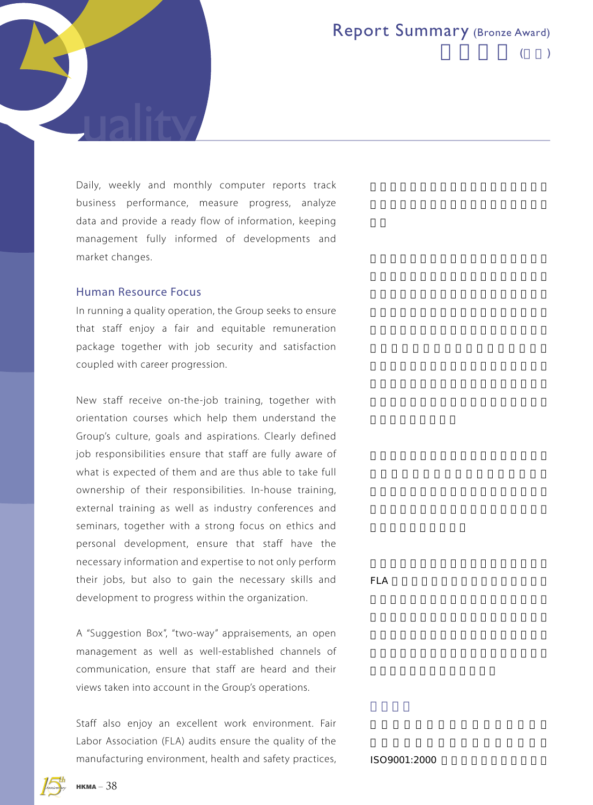$($ 

Daily, weekly and monthly computer reports track business performance, measure progress, analyze data and provide a ready flow of information, keeping management fully informed of developments and market changes.

### Human Resource Focus

In running a quality operation, the Group seeks to ensure that staff enjoy a fair and equitable remuneration package together with job security and satisfaction coupled with career progression.

New staff receive on-the-job training, together with orientation courses which help them understand the Group's culture, goals and aspirations. Clearly defined job responsibilities ensure that staff are fully aware of what is expected of them and are thus able to take full ownership of their responsibilities. In-house training, external training as well as industry conferences and seminars, together with a strong focus on ethics and personal development, ensure that staff have the necessary information and expertise to not only perform their jobs, but also to gain the necessary skills and development to progress within the organization.

FLA 的評核能有效確保集團的生產環境質

A "Suggestion Box", "two-way" appraisements, an open management as well as well-established channels of communication, ensure that staff are heard and their views taken into account in the Group's operations.

Staff also enjoy an excellent work environment. Fair Labor Association (FLA) audits ensure the quality of the manufacturing environment, health and safety practices,

ISO 9001:2000

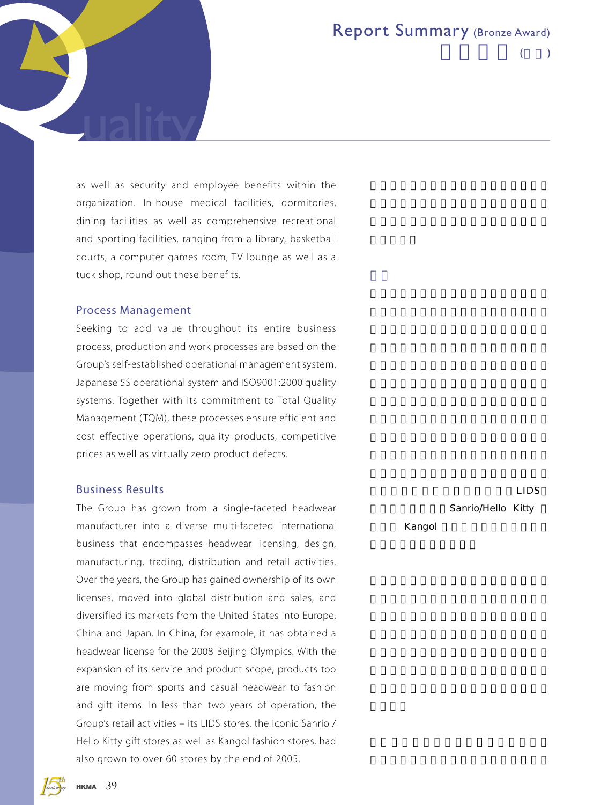$($ 

as well as security and employee benefits within the organization. In-house medical facilities, dormitories, dining facilities as well as comprehensive recreational and sporting facilities, ranging from a library, basketball courts, a computer games room, TV lounge as well as a tuck shop, round out these benefits.

#### Process Management

Seeking to add value throughout its entire business process, production and work processes are based on the Group's self-established operational management system, Japanese 5S operational system and ISO9001:2000 quality systems. Together with its commitment to Total Quality Management (TQM), these processes ensure efficient and cost effective operations, quality products, competitive prices as well as virtually zero product defects.

### Business Results

The Group has grown from a single-faceted headwear manufacturer into a diverse multi-faceted international business that encompasses headwear licensing, design, manufacturing, trading, distribution and retail activities. Over the years, the Group has gained ownership of its own licenses, moved into global distribution and sales, and diversified its markets from the United States into Europe, China and Japan. In China, for example, it has obtained a headwear license for the 2008 Beijing Olympics. With the expansion of its service and product scope, products too are moving from sports and casual headwear to fashion and gift items. In less than two years of operation, the Group's retail activities – its LIDS stores, the iconic Sanrio / Hello Kitty gift stores as well as Kangol fashion stores, had also grown to over 60 stores by the end of 2005.

LIDS Sanrio/Hello Kitty

Kangol